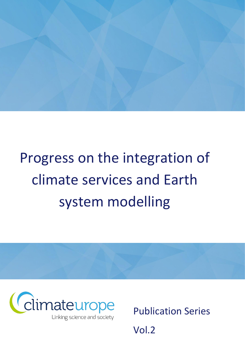

# Progress on the integration of climate services and Earth system modelling



Publication Series

Vol.2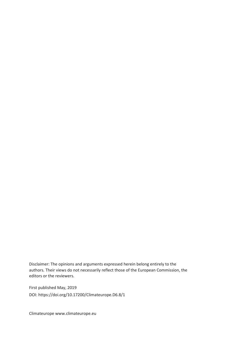Disclaimer: The opinions and arguments expressed herein belong entirely to the authors. Their views do not necessarily reflect those of the European Commission, the editors or the reviewers.

First published May, 2019 DOI: https://doi.org/10.17200/Climateurope.D6.8/1

Climateurope [www.climateurope.eu](http://www.climateurope.eu/)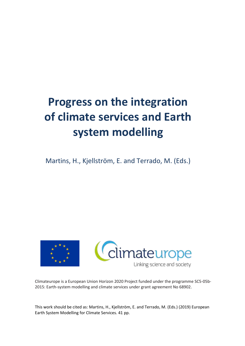# **Progress on the integration of climate services and Earth system modelling**

Martins, H., Kjellström, E. and Terrado, M. (Eds.)



Climateurope is a European Union Horizon 2020 Project funded under the programme SC5-05b-2015: Earth-system modelling and climate services under grant agreement No 68902.

This work should be cited as: Martins, H., Kjellström, E. and Terrado, M. (Eds.) (2019) European Earth System Modelling for Climate Services. 41 pp.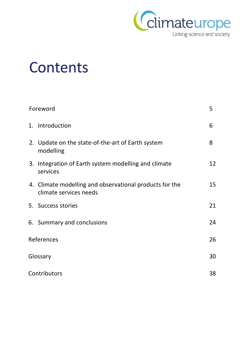

# Contents

| Foreword   |                                                                                   |    |  |  |
|------------|-----------------------------------------------------------------------------------|----|--|--|
|            | 1. Introduction                                                                   | 6  |  |  |
|            | 2. Update on the state-of-the-art of Earth system<br>modelling                    | 8  |  |  |
|            | 3. Integration of Earth system modelling and climate<br>services                  | 12 |  |  |
|            | 4. Climate modelling and observational products for the<br>climate services needs | 15 |  |  |
|            | 5. Success stories                                                                | 21 |  |  |
|            | 6. Summary and conclusions                                                        | 24 |  |  |
| References |                                                                                   |    |  |  |
| Glossary   |                                                                                   |    |  |  |
|            | Contributors                                                                      |    |  |  |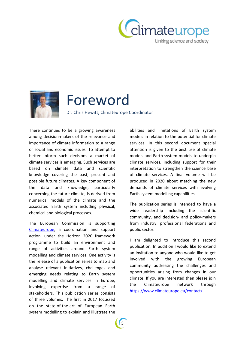



# Foreword

Dr. Chris Hewitt, Climateurope Coordinator

There continues to be a growing awareness among decision-makers of the relevance and importance of climate information to a range of social and economic issues. To attempt to better inform such decisions a market of climate services is emerging. Such services are based on climate data and scientific knowledge covering the past, present and possible future climates. A key component of the data and knowledge, particularly concerning the future climate, is derived from numerical models of the climate and the associated Earth system including physical, chemical and biological processes.

The European Commission is supporting [Climateurope,](https://www.climateurope.eu/) a coordination and support action, under the Horizon 2020 framework programme to build an environment and range of activities around Earth system modelling and climate services. One activity is the release of a publication series to map and analyse relevant initiatives, challenges and emerging needs relating to Earth system modelling and climate services in Europe, involving expertise from a range of stakeholders. This publication series consists of three volumes. The first in 2017 focussed on the state-of-the-art of European Earth system modelling to explain and illustrate the

abilities and limitations of Earth system models in relation to the potential for climate services. In this second document special attention is given to the best use of climate models and Earth system models to underpin climate services, including support for their interpretation to strengthen the science base of climate services. A final volume will be produced in 2020 about matching the new demands of climate services with evolving Earth system modelling capabilities.

The publication series is intended to have a wide readership including the scientific community, and decision- and policy-makers from industry, professional federations and public sector.

I am delighted to introduce this second publication. In addition I would like to extend an invitation to anyone who would like to get involved with the growing European community addressing the challenges and opportunities arising from changes in our climate. If you are interested then please join the Climateurope network through <https://www.climateurope.eu/contact/> .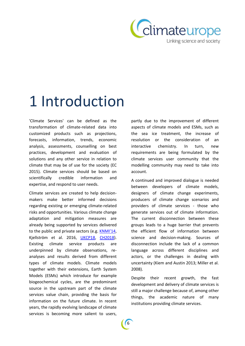

# 1 Introduction

'Climate Services' can be defined as the transformation of climate-related data into customized products such as projections, forecasts, information, trends, economic analysis, assessments, counselling on best practices, development and evaluation of solutions and any other service in relation to climate that may be of use for the society (EC 2015). Climate services should be based on scientifically credible information and expertise, and respond to user needs.

Climate services are created to help decisionmakers make better informed decisions regarding existing or emerging climate-related risks and opportunities. Various climate change adaptation and mitigation measures are already being supported by services delivered to the public and private sectors (e.g. [KNMI'14](http://www.climatescenarios.nl/), Kjellström et al. 2016, [UKCP18,](https://www.metoffice.gov.uk/research/collaboration/ukcp/about) [CH2018\)](https://www.nccs.admin.ch/nccs/en/home/climate-change-and-impacts/swiss-climate-change-scenarios.html). Existing climate service products are underpinned by climate observations, reanalyses and results derived from different types of climate models. Climate models together with their extensions, Earth System Models (ESMs) which introduce for example biogeochemical cycles, are the predominant source in the upstream part of the climate services value chain, providing the basis for information on the future climate. In recent years, the rapidly evolving landscape of climate services is becoming more salient to users,

partly due to the improvement of different aspects of climate models and ESMs, such as the sea ice treatment, the increase of resolution or the consideration of an interactive chemistry. In turn, new requirements are being formulated by the climate services user community that the modelling community may need to take into account.

A continued and improved dialogue is needed between developers of climate models, designers of climate change experiments, producers of climate change scenarios and providers of climate services - those who generate services out of climate information. The current disconnection between these groups leads to a huge barrier that prevents the efficient flow of information between science and decision-making. Sources of disconnection include the lack of a common language across different disciplines and actors, or the challenges in dealing with uncertainty (Kiem and Austin 2013; Miller et al. 2008).

Despite their recent growth, the fast development and delivery of climate services is still a major challenge because of, among other things, the academic nature of many institutions providing climate services.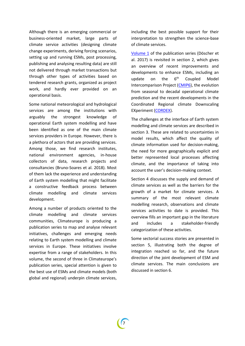Although there is an emerging commercial or business-oriented market, large parts of climate service activities (designing climate change experiments, deriving forcing scenarios, setting up and running ESMs, post processing, publishing and analysing resulting data) are still not delivered through market transactions but through other types of activities based on tendered research grants, organized as project work, and hardly ever provided on an operational basis.

Some national meteorological and hydrological services are among the institutions with arguably the strongest knowledge of operational Earth system modelling and have been identified as one of the main climate services providers in Europe. However, there is a plethora of actors that are providing services. Among those, we find research institutes, national environment agencies, in-house collectors of data, research projects and consultancies (Bruno-Soares et al. 2018). Most of them lack the experience and understanding of Earth system modelling that might facilitate a constructive feedback process between climate modelling and climate services development.

Among a number of products oriented to the climate modelling and climate services communities, Climateurope is producing a publication series to map and analyse relevant initiatives, challenges and emerging needs relating to Earth system modelling and climate services in Europe. These initiatives involve expertise from a range of stakeholders. In this volume, the second of three in Climateurope's publication series, special attention is given to the best use of ESMs and climate models (both global and regional) underpin climate services,

including the best possible support for their interpretation to strengthen the science-base of climate services.

[Volume 1](https://www.climateurope.eu/european-earth-system-modelling-for-climate-services/) of the publication series (Döscher et al. 2017) is revisited in section 2, which gives an overview of recent improvements and developments to enhance ESMs, including an update on the 6<sup>th</sup> Coupled Model Intercomparison Project [\(CMIP6\)](https://www.wcrp-climate.org/wgcm-cmip/wgcm-cmip6), the evolution from seasonal to decadal operational climate prediction and the recent developments in the Coordinated Regional climate Downscaling EXperiment [\(CORDEX\)](http://www.cordex.org/).

The challenges at the interface of Earth system modelling and climate services are described in section 3. These are related to uncertainties in model results, which affect the quality of climate information used for decision-making, the need for more geographically explicit and better represented local processes affecting climate, and the importance of taking into account the user's decision-making context.

Section 4 discusses the supply and demand of climate services as well as the barriers for the growth of a market for climate services. A summary of the most relevant climate modelling research, observations and climate services activities to date is provided. This overview fills an important gap in the literature and includes a stakeholder-friendly categorization of these activities.

Some sectorial success stories are presented in section 5, illustrating both the degree of integration reached so far, and the future direction of the joint development of ESM and climate services. The main conclusions are discussed in section 6.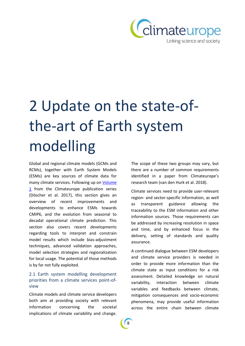

# 2 Update on the state-ofthe-art of Earth system modelling

Global and regional climate models (GCMs and RCMs), together with Earth System Models (ESMs) are key sources of climate data for many climate services. Following up on [Volume](https://www.climateurope.eu/european-earth-system-modelling-for-climate-services/)  [1](https://www.climateurope.eu/european-earth-system-modelling-for-climate-services/) from the Climateurope publication series (Döscher et al. 2017), this section gives an overview of recent improvements and developments to enhance ESMs towards CMIP6, and the evolution from seasonal to decadal operational climate prediction. This section also covers recent developments regarding tools to interpret and constrain model results which include bias-adjustment techniques, advanced validation approaches, model selection strategies and regionalization for local usage. The potential of those methods is by far not fully exploited.

## 2.1 Earth system modelling development priorities from a climate services point-ofview

Climate models and climate service developers both aim at providing society with relevant information concerning the societal implications of climate variability and change.

The scope of these two groups may vary, but there are a number of common requirements identified in a paper from Climateurope's research team (van den Hurk et al. 2018).

Climate services need to provide user-relevant region- and sector-specific information, as well as transparent guidance allowing the traceability to the ESM information and other information sources. Those requirements can be addressed by increasing resolution in space and time, and by enhanced focus in the delivery, setting of standards and quality assurance.

A continued dialogue between ESM developers and climate service providers is needed in order to provide more information than the climate state as input conditions for a risk assessment. Detailed knowledge on natural variability, interaction between climate variables and feedbacks between climate, mitigation consequences and socio-economic phenomena, may provide useful information across the entire chain between climate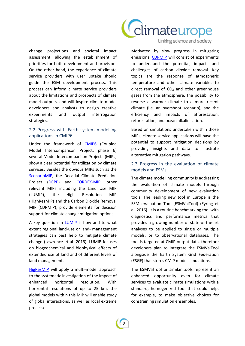

change projections and societal impact assessment, allowing the establishment of priorities for both development and provision. On the other hand, the experience of climate service providers with user uptake should guide the ESM development process. This process can inform climate service providers about the limitations and prospects of climate model outputs, and will inspire climate model developers and analysts to design creative experiments and output interrogation strategies.

### 2.2 Progress with Earth system modelling applications in CMIP6

Under the framework of [CMIP6](https://www.wcrp-climate.org/wgcm-cmip/wgcm-cmip6) (Coupled Model Intercomparison Project, phase 6) several Model Intercomparison Projects (MIPs) show a clear potential for utilization by climate services. Besides the obvious MIPs such as the [ScenarioMIP,](https://www.wcrp-climate.org/modelling-wgcm-mip-catalogue/cmip6-endorsed-mips-article/1070-modelling-cmip6-scenariomip) the Decadal Climate Prediction Project [\(DCPP\)](https://www.wcrp-climate.org/modelling-wgcm-mip-catalogue/cmip6-endorsed-mips-article/1065-modelling-cmip6-dcpp) and [CORDEX-MIP,](https://www.wcrp-climate.org/modelling-wgcm-mip-catalogue/cmip6-endorsed-mips-article/1052-modelling-cmip6-cordex) other relevant MIPs including the Land Use MIP (LUMIP), the High Resolution MIP (HighResMIP) and the Carbon Dioxide Removal MIP (CDRMIP), provide elements for decision support for climate change mitigation options.

A key question in [LUMIP](https://www.wcrp-climate.org/modelling-wgcm-mip-catalogue/cmip6-endorsed-mips-article/1053-modelling-cmip6-lumip) is how and to what extent regional land-use or land- management strategies can best help to mitigate climate change (Lawrence et al. 2016). LUMIP focuses on biogeochemical and biophysical effects of extended use of land and of different levels of land management.

[HigResMIP](https://www.wcrp-climate.org/modelling-wgcm-mip-catalogue/cmip6-endorsed-mips-article/1068-modelling-cmip6-highresmip) will apply a multi-model approach to the systematic investigation of the impact of enhanced horizontal resolution. With horizontal resolutions of up to 25 km, the global models within this MIP will enable study of global interactions, as well as local extreme processes.

Linking science and society

Motivated by slow progress in mitigating emissions, [CDRMIP](https://www.wcrp-climate.org/modelling-wgcm-mip-catalogue/cmip6-endorsed-mips-article/1302-modelling-cmip6-cdrrmip) will consist of experiments to understand the potential, impacts and challenges of carbon dioxide removal. Key topics are the response of atmospheric temperature and other climate variables to direct removal of  $CO<sub>2</sub>$  and other greenhouse gases from the atmosphere, the possibility to reverse a warmer climate to a more recent climate (i.e. an overshoot scenario), and the efficiency and impacts of afforestation, reforestation, and ocean alkalinisation.

Based on simulations undertaken within those MIPs, climate service applications will have the potential to support mitigation decisions by providing insights and data to illustrate alternative mitigation pathways.

### 2.3 Progress in the evaluation of climate models and ESMs

The climate modelling community is addressing the evaluation of climate models through community development of new evaluation tools. The leading new tool in Europe is the ESM eValuation Tool (ESMValTool) (Eyring et al. 2016). It is a routine benchmarking tool with diagnostics and performance metrics that provides a growing number of state-of-the-art analyses to be applied to single or multiple models, or to observational databases. The tool is targeted at CMIP output data, therefore developers plan to integrate the ESMValTool alongside the Earth System Grid Federation (ESGF) that stores CMIP model simulations.

The ESMValTool or similar tools represent an enhanced opportunity even for climate services to evaluate climate simulations with a standard, homogenized tool that could help, for example, to make objective choices for constraining simulation ensembles.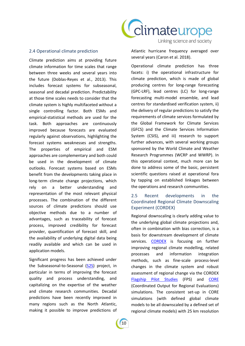

#### 2.4 Operational climate prediction

Climate prediction aims at providing future climate information for time scales that range between three weeks and several years into the future (Doblas-Reyes et al., 2013). This includes forecast systems for subseasonal, seasonal and decadal prediction. Predictability at those time scales needs to consider that the climate system is highly multifaceted without a single controlling factor. Both ESMs and empirical-statistical methods are used for the task. Both approaches are continuously improved because forecasts are evaluated regularly against observations, highlighting the forecast systems weaknesses and strengths. The properties of empirical and ESM approaches are complementary and both could be used in the development of climate outlooks. Forecast systems based on ESMs benefit from the developments taking place in long-term climate change projections, which rely on a better understanding and representation of the most relevant physical processes. The combination of the different sources of climate predictions should use objective methods due to a number of advantages, such as traceability of forecast process, improved credibility for forecast provider, quantification of forecast skill, and the availability of underlying digital data being readily available and which can be used in application models.

Significant progress has been achieved under the Subseasonal-to-Seasonal [\(S2S\)](http://s2sprediction.net/) project, in particular in terms of improving the forecast quality and process understanding, and capitalizing on the expertise of the weather and climate research communities. Decadal predictions have been recently improved in many regions such as the North Atlantic, making it possible to improve predictions of Atlantic hurricane frequency averaged over several years (Caron et al. 2018).

Operational climate prediction has three facets: i) the operational infrastructure for climate prediction, which is made of global producing centres for long-range forecasting (GPC-LRF), lead centres (LC) for long-range forecasting multi-model ensemble, and lead centres for standardised verification system, ii) the delivery of regular predictions to satisfy the requirements of climate services formulated by the Global Framework for Climate Services (GFCS) and the Climate Services Information System (CSIS), and iii) research to support further advances, with several working groups sponsored by the World Climate and Weather Research Programmes (WCRP and WWRP). In this operational context, much more can be done to address some of the basic, persistent scientific questions raised at operational fora by tapping on established linkages between the operations and research communities.

### 2.5 Recent developments in the Coordinated Regional Climate Downscaling Experiment (CORDEX)

Regional downscaling is clearly adding value to the underlying global climate projections and, often in combination with bias correction, is a basis for downstream development of climate services. [CORDEX](http://www.cordex.org/) is focusing on further improving regional climate modelling, related processes and information integration methods, such as fine-scale process-level changes in the climate system and robust assessment of regional change via the CORDEX [Flagship Pilot Studies](http://www.cordex.org/endorsed-flagship-pilot-studies/) (FPS) and [CORE](http://www.cordex.org/experiment-guidelines/cordex-core/) (Coordinated Output for Regional Evaluations) simulations. The consistent set-up in CORE simulations (with defined global climate models to be all downscaled by a defined set of regional climate models) with 25 km resolution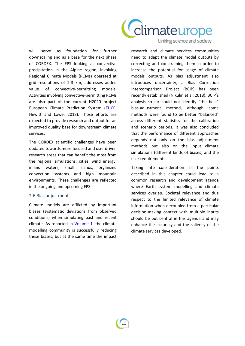

will serve as foundation for further downscaling and as a base for the next phase of CORDEX. The FPS looking at convective precipitation in the Alpine region, involving Regional Climate Models (RCMs) operated at grid resolutions of 2-3 km, addresses added value of convective-permitting models. Activities involving convective-permitting RCMs are also part of the current H2020 project European Climate Prediction System [\(EUCP,](https://www.eucp-project.eu/) Hewitt and Lowe, 2018). Those efforts are expected to provide research and output for an improved quality base for downstream climate services.

The CORDEX scientific challenges have been updated towards more focused and user driven research areas that can benefit the most from the regional simulations: cities, wind energy, inland waters, small islands, organized convection systems and high mountain environments. These challenges are reflected in the ongoing and upcoming FPS.

#### 2.6 Bias adjustment

Climate models are afflicted by important biases (systematic deviations from observed conditions) when simulating past and recent climate. As reported in [Volume 1,](https://www.climateurope.eu/european-earth-system-modelling-for-climate-services/) the climate modelling community is successfully reducing these biases, but at the same time the impact Linking science and society

research and climate services communities need to adapt the climate model outputs by correcting and constraining them in order to increase the potential for usage of climate models outputs. As bias adjustment also introduces uncertainty, a Bias Correction Intercomparison Project (BCIP) has been recently established (Nikulin et al. 2018). BCIP's analysis so far could not identify "the best" bias-adjustment method, although some methods were found to be better "balanced" across different statistics for the calibration and scenario periods. It was also concluded that the performance of different approaches depends not only on the bias adjustment methods but also on the input climate simulations (different kinds of biases) and the user requirements.

Taking into consideration all the points described in this chapter could lead to a common research and development agenda where Earth system modelling and climate services overlap. Societal relevance and due respect to the limited relevance of climate information when decoupled from a particular decision-making context with multiple inputs should be put central in this agenda and may enhance the accuracy and the saliency of the climate services developed.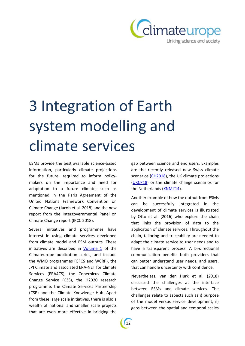

# 3 Integration of Earth system modelling and climate services

ESMs provide the best available science-based information, particularly climate projections for the future, required to inform policymakers on the importance and need for adaptation to a future climate, such as mentioned in the Paris Agreement of the United Nations Framework Convention on Climate Change (Jacob et al. 2018) and the new report from the Intergovernmental Panel on Climate Change report (IPCC 2018).

Several initiatives and programmes have interest in using climate services developed from climate model and ESM outputs. These initiatives are described in  $Volume_1$  of the Climateurope publication series, and include the WMO programmes (GFCS and WCRP), the JPI Climate and associated ERA-NET for Climate Services (ERA4CS), the Copernicus Climate Change Service (C3S), the H2020 research programme, the Climate Services Partnership (CSP) and the Climate Knowledge Hub. Apart from these large scale initiatives, there is also a wealth of national and smaller scale projects that are even more effective in bridging the

gap between science and end users. Examples are the recently released new Swiss climate scenarios [\(CH2018\)](http://www.ch2018.ch/), the UK climate projections [\(UKCP18\)](https://www.metoffice.gov.uk/research/collaboration/ukcp/about) or the climate change scenarios for the Netherlands ([KNMI'](http://www.climatescenarios.nl/)14).

Another example of how the output from ESMs can be successfully integrated in the development of climate services is illustrated by Otto et al. (2016) who explore the chain that links the provision of data to the application of climate services. Throughout the chain, tailoring and traceability are needed to adapt the climate service to user needs and to have a transparent process. A bi-directional communication benefits both providers that can better understand user needs, and users, that can handle uncertainty with confidence.

Nevertheless, van den Hurk et al. (2018) discussed the challenges at the interface between ESMs and climate services. The challenges relate to aspects such as i) purpose of the model versus service development, ii) gaps between the spatial and temporal scales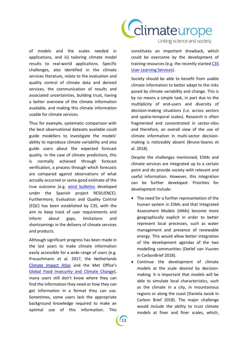

Linking science and society

of models and the scales needed in applications, and iii) tailoring climate model results to real-world applications. Specific challenges, also identified in the climate services literature, relate to the evaluation and quality control of climate data and derived services, the communication of results and associated uncertainties, building trust, having a better overview of the climate information available, and making this climate information usable for climate services.

Thus for example, systematic comparison with the best observational datasets available could guide modellers to investigate the models' ability to reproduce climate variability and also guide users about the expected forecast quality. In the case of climate predictions, this is normally achieved through forecast verification, a process through which forecasts are compared against observations of what actually occurred or some good estimate of the true outcome (e.g. [wind bulletins](https://ess.bsc.es/information/wind-bulletins) developed under the Spanish project RESILIENCE). Furthermore, Evaluation and Quality Control (EQC) has been established by C3S, with the aim to keep track of user requirements and inform about gaps, limitations and shortcomings in the delivery of climate services and products.

Although significant progress has been made in the last years to make climate information easily accessible for a wide range of users (e.g. Preuschmann et al. 2017, the Netherlands [Climate Impact Atlas](http://www.klimaateffectatlas.nl/en/) and the Met Office's [Global Food Insecurity and Climate Change\)](https://www.metoffice.gov.uk/food-insecurity-index/), many users still don't know where they can find the information they need or how they can get information in a format they can use. Sometimes, some users lack the appropriate background knowledge required to make an optimal use of this information. This constitutes an important drawback, which could be overcome by the development of training resources (e.g. the recently started [C3S](https://climate.copernicus.eu/user-learning-services)  [User Learning Services\)](https://climate.copernicus.eu/user-learning-services).

Society should be able to benefit from usable climate information to better adapt to the risks posed by climate variability and change. This is by no means a simple task, in part due to the multiplicity of end-users and diversity of decision-making situations (i.e. across sectors and spatio-temporal scales). Research is often fragmented and concentrated in sector-silos and therefore, an overall view of the use of climate information in multi-sector decisionmaking is noticeably absent (Bruno-Soares et al. 2018).

Despite the challenges mentioned, ESMs and climate services are integrated up to a certain point and do provide society with relevant and useful information. However, this integration can be further developed. Priorities for development include:

- The need for a further representation of the human system in ESMs and that Integrated Assessment Models (IAMs) become more geographically explicit in order to better represent local processes, such as water management and presence of renewable energy. This would allow better integration of the development agendas of the two modelling communities (Detlef van Vuuren in CarbonBrief 2018).
- Continue the development of climate models at the scale desired by decisionmaking. It is important that models will be able to simulate local characteristics, such as the climate in a city, in mountainous regions or along the coast (Daniela Jacob in Carbon Brief 2018). The major challenge would include the ability to trust climate models at finer and finer scales, which,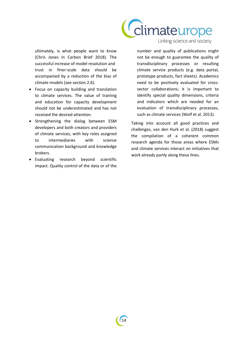

ultimately, is what people want to know (Chris Jones in Carbon Brief 2018). The successful increase of model resolution and trust in finer-scale data should be accompanied by a reduction of the bias of climate models (see section 2.6).

- Focus on capacity building and translation to climate services. The value of training and education for capacity development should not be underestimated and has not received the desired attention.
- Strengthening the dialog between ESM developers and both creators and providers of climate services, with key roles assigned to intermediaries with science communication background and knowledge brokers.
- Evaluating research beyond scientific impact. Quality control of the data or of the

Linking science and society

number and quality of publications might not be enough to guarantee the quality of transdisciplinary processes or resulting climate service products (e.g. data portal, prototype products, fact sheets). Academics need to be positively evaluated for crosssector collaborations; it is important to identify special quality dimensions, criteria and indicators which are needed for an evaluation of transdisciplinary processes, such as climate services (Wolf et al. 2013).

Taking into account all good practices and challenges, van den Hurk et al. (2018) suggest the compilation of a coherent common research agenda for those areas where ESMs and climate services interact on initiatives that work already partly along these lines.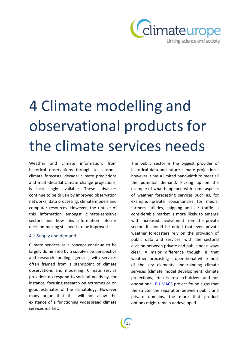

# 4 Climate modelling and observational products for the climate services needs

Weather and climate information, from historical observations through to seasonal climate forecasts, decadal climate predictions and multi-decadal climate change projections, is increasingly available. These advances continue to be driven by improved observation networks, data processing, climate models and computer resources. However, the uptake of this information amongst climate-sensitive sectors and how this information informs decision-making still needs to be improved.

#### 4.1 Supply and demand

Climate services as a concept continue to be largely dominated by a supply-side perspective and research funding agencies, with services often framed from a standpoint of climate observations and modelling. Climate service providers do respond to societal needs by, for instance, focusing research on extremes or on good estimates of the climatology. However many argue that this will not allow the existence of a functioning widespread climate services market.

The public sector is the biggest provider of historical data and future climate projections; however it has a limited bandwidth to meet all the potential demand. Picking up on the example of what happened with some aspects of weather forecasting services such as, for example, private consultancies for media, farmers, utilities, shipping and air traffic, a considerable market is more likely to emerge with increased involvement from the private sector. It should be noted that even private weather forecasters rely on the provision of public data and services, with the sectoral division between private and public not always clear. A major difference though, is that weather forecasting is operational while most of the key elements underpinning climate services (climate model development, climate projections, etc.) is research-driven and not operational. **EU-MACS** project found signs that the stricter the separation between public and private domains, the more that product options might remain undeveloped.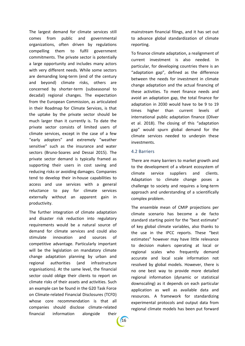The largest demand for climate services still comes from public and governmental organizations, often driven by regulations compelling them to fulfil government commitments. The private sector is potentially a large opportunity and includes many actors with very different needs. While some sectors are demanding long-term (end of the century and beyond) climate risks, others are concerned by shorter-term (subseasonal to decadal) regional changes. The expectation from the European Commission, as articulated in their Roadmap for Climate Services, is that the uptake by the private sector should be much larger than it currently is. To date the private sector consists of limited users of climate services, except in the case of a few "early adopters" and extremely "weather sensitive" such as the insurance and water sectors (Bruno-Soares and Dessai 2015). The private sector demand is typically framed as supporting their users in cost saving and reducing risks or avoiding damages. Companies tend to develop their in-house capabilities to access and use services with a general reluctance to pay for climate services externally without an apparent gain in productivity.

The further integration of climate adaptation and disaster risk reduction into regulatory requirements would be a natural source of demand for climate services and could also stimulate innovation and sources of competitive advantage. Particularly important will be the legislation on mandatory climate change adaptation planning by urban and regional authorities (and infrastructure organisations). At the same level, the financial sector could oblige their clients to report on climate risks of their assets and activities. Such an example can be found in the G20 Task Force on Climate-related Financial Disclosures (TCFD) whose core recommendation is that all companies should disclose climate-related financial information alongside their

mainstream financial filings, and it has set out to advance global standardization of climate reporting.

To finance climate adaptation, a realignment of current investment is also needed. In particular, for developing countries there is an "adaptation gap", defined as the difference between the needs for investment in climate change adaptation and the actual financing of these activities. To meet finance needs and avoid an adaptation gap, the total finance for adaptation in 2030 would have to be 9 to 19 times higher than current levels of international public adaptation finance (Oliver et al. 2018). The closing of this "adaptation gap" would spurn global demand for the climate services needed to underpin these investments.

#### 4.2 Barriers

There are many barriers to market growth and to the development of a vibrant ecosystem of climate service suppliers and clients. Adaptation to climate change poses a challenge to society and requires a long-term approach and understanding of a scientifically complex problem.

The ensemble mean of CMIP projections per climate scenario has become a de facto standard starting point for the "best estimate" of key global climate variables, also thanks to the use in the IPCC reports. These "best estimates" however may have little relevance to decision makers operating at local or regional scales who frequently demand accurate and local scale information not resolved by global models. However, there is no one best way to provide more detailed regional information (dynamic or statistical downscaling) as it depends on each particular application as well as available data and resources. A framework for standardizing experimental protocols and output data from regional climate models has been put forward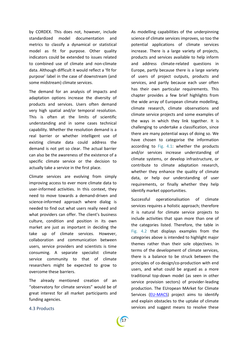by CORDEX. This does not, however, include standardized model documentation and metrics to classify a dynamical or statistical model as fit for purpose. Other quality indicators could be extended to issues related to combined use of climate and non-climate data. Although difficult it would reflect a 'fit for purpose' label in the case of downstream (and some midstream) climate services.

The demand for an analysis of impacts and adaptation options increase the diversity of products and services. Users often demand very high spatial and/or temporal resolution. This is often at the limits of scientific understanding and in some cases technical capability. Whether the resolution demand is a real barrier or whether intelligent use of existing climate data could address the demand is not yet so clear. The actual barrier can also be the awareness of the existence of a specific climate service or the decision to actually take a service in the first place.

Climate services are evolving from simply improving access to ever more climate data to user-informed activities. In this context, they need to move towards a demand-driven and science-informed approach where dialog is needed to find out what users really need and what providers can offer. The client's business culture, condition and position in its own market are just as important in deciding the take up of climate services. However, collaboration and communication between users, service providers and scientists is time consuming. A separate specialist climate service community to that of climate researchers might be expected to grow to overcome these barriers.

The already mentioned creation of an "observatory for climate services" would be of great interest for all market participants and funding agencies.

As modelling capabilities of the underpinning science of climate services improves, so too the potential applications of climate services increase. There is a large variety of projects, products and services available to help inform and address climate-related questions in Europe, partly because there is a large variety of users of project outputs, products and services, and partly because each user often has their own particular requirements. This chapter provides a few brief highlights from the wide array of European climate modelling, climate research, climate observations and climate service projects and some examples of the ways in which they link together. It is challenging to undertake a classification, since there are many potential ways of doing so. We have chosen to categorise the information according to Fig. 4.1: whether the products and/or services increase understanding of climate systems, or develop infrastructure, or contribute to climate adaptation research, whether they enhance the quality of climate data, or help our understanding of user requirements, or finally whether they help identify market opportunities.

Successful operationalisation of climate services requires a holistic approach; therefore it is natural for climate service projects to include activities that span more than one of the categories listed. Therefore, the table in Fig. 4.2 that displays examples from the categories above is intended to highlight major themes rather than their sole objectives. In terms of the development of climate services, there is a balance to be struck between the principles of co-design/co-production with end users, and what could be argued as a more traditional top-down model (as seen in other service provision sectors) of provider-leading production. The EUropean MArket for Climate Services [\(EU-MACS\)](http://eu-macs.eu/) project aims to identify and explain obstacles to the uptake of climate services and suggest means to resolve these

#### 4.3 Products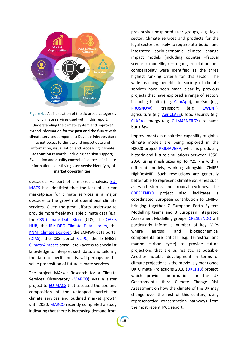

Figure 4.1 An illustration of the six broad categories of climate services used within this report: Understanding the climate system and improve/ extend information for the **past and the future** with climate services component; Develop **infrastructure** to get access to climate and impact data and information, visualisation and processing; Climate **adaptation** research, including decision support; Evaluation and **quality control** of sources of climate information; Identifying **user needs**; Identifying of **market opportunities**.

obstacles. As part of a market analysis, [EU-](http://eu-macs.eu/)[MACS](http://eu-macs.eu/) has identified that the lack of a clear marketplace for climate services is a major obstacle to the growth of operational climate services. Given the great efforts underway to provide more freely available climate data (e.g. the [C3S Climate Data Store](https://cds.climate.copernicus.eu/#!/home) (CDS), the [OASIS](https://oasishub.co/about/about-the-oasis-hub/)  [HUB,](https://oasishub.co/about/about-the-oasis-hub/) the [IRI/LDEO Climate Data Library,](http://iridl.ldeo.columbia.edu/index.html?Set-Language=en) the [KNMI Climate Explorer,](https://climexp.knmi.nl/start.cgi) the ECMWF data portal [\(DIAS\)](https://www.copernicus.eu/en/access-data/dias), the C3S portal [CLIPC,](http://www.clipc.eu/) the IS-ENES2 [Climate4Impact](https://climate4impact.eu/impactportal/general/index.jsp) portal, etc.) access to specialist knowledge to interpret such data, and tailoring the data to specific needs, will perhaps be the value proposition of future climate services.

The project MArket Research for a Climate Services Observatory [\(MARCO\)](http://marco-h2020.eu/) was a sister project to [EU-MACS](http://eu-macs.eu/) that assessed the size and composition of the untapped market for climate services and outlined market growth until 2030. [MARCO](http://marco-h2020.eu/) recently completed a study indicating that there is increasing demand from previously unexplored user groups, e.g. legal sector. Climate services and products for the legal sector are likely to require attribution and integrated socio-economic climate change impact models (including counter –factual scenario modelling) – rigour, resolution and comparability were identified as the three highest ranking criteria for this sector. The wide reaching benefits to society of climate services have been made clear by previous projects that have explored a range of sectors including health (e.g. [ClimApp\)](http://www.lth.se/climapp/project/), tourism (e.g. [PROSNOW\)](http://prosnow.org/), transport (e.g. [EWENT\)](http://ewent.vtt.fi/), agriculture (e.g. [AgriCLASS\)](https://www.copernicus.eu/projects/agriclass), food security (e.g. [CLARA\)](http://www.clara-project.eu/), energy (e.g. [CLIM4ENERGY\)](http://clim4energy.climate.copernicus.eu/), to name but a few.

Improvements in resolution capability of global climate models are being explored in the H2020 project [PRIMAVERA,](https://www.primavera-h2020.eu/) which is producing historic and future simulations between 1950- 2050 using mesh sizes up to ~25 km with 7 different models, working alongside CMIP6 HighResMIP. Such resolutions are generally better able to represent climate extremes such as wind storms and tropical cyclones. The [CRESCENDO](https://www.crescendoproject.eu/) project also facilitates a coordinated European contribution to CMIP6, bringing together 7 European Earth System Modelling teams and 3 European Integrated Assessment Modelling groups. [CRESCENDO](https://www.crescendoproject.eu/) will particularly inform a number of key MIPs where aerosol and biogeochemical components are critical (e.g. terrestrial and marine carbon cycle) to provide future projections that are as realistic as possible. Another notable development in terms of climate projections is the previously mentioned UK Climate Projections 2018 [\(UKCP18\)](https://www.metoffice.gov.uk/research/collaboration/ukcp/about) project, which provides information for the UK Government's third Climate Change Risk Assessment on how the climate of the UK may change over the rest of this century, using representative concentration pathways from the most recent IPCC report.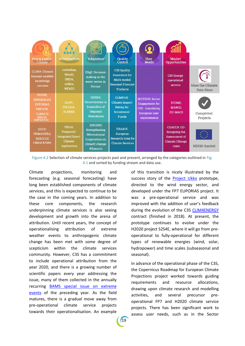| <b>Past &amp; Future</b><br><b>Climate</b>                                                                             | Infrastructure                                                                   | <b>Adaptation</b>                                                                                        | Quality<br>Control                                                                                 | <b>User</b><br><b>Needs</b>                                                                           | <b>Market</b><br><b>Opportunities</b>                                           |                                |
|------------------------------------------------------------------------------------------------------------------------|----------------------------------------------------------------------------------|----------------------------------------------------------------------------------------------------------|----------------------------------------------------------------------------------------------------|-------------------------------------------------------------------------------------------------------|---------------------------------------------------------------------------------|--------------------------------|
| <b>CLARA: Climate</b><br>forecast enabled<br>knowledge<br>services                                                     | credodias,<br>Mundi.<br>ONDA.<br>sobloo,<br><b>WEKEO</b>                         | <b>EDgE: Decision-</b><br>making in the<br>water sector in<br><b>Europe</b>                              | <b>C3S Quality</b><br>Assurance for<br>Multi-model<br><b>Seasonal Forecast</b><br><b>Products</b>  |                                                                                                       | <b>C3S Energy</b><br>operational<br>service                                     | Uses the Climate<br>Data Store |
| ECLISE.<br><b>ENSEMBLES.</b><br><b>EUPORIAS,</b><br><b>UNPACK</b><br><b>CLIMATE</b><br><b>HELIX</b><br><b>IMPACT2C</b> | CLIPC.<br>EUCLEIA,<br><b>IS-ENES</b>                                             | <b>UERRA:</b><br><b>Uncertainties in</b><br><b>Ensembles of</b><br>Regional<br><b>Reanalyses</b>         | <b>CLIMPAX:</b><br><b>Climate Impact</b><br><b>Rating for</b><br><b>Investment</b><br><b>Funds</b> | <b>SECTEUR: Sector</b><br><b>Engagement</b> for<br>C3S - translating<br>European user<br>requirements | <b>ECOMS.</b><br>MARCO,<br><b>EU-MACS</b>                                       | Completed<br>Projects          |
| EUCP.<br>PRIMAVERA.<br><b>RESCCUE</b><br><b>CRESCENDO</b>                                                              | VISCA:<br>Vineyards'<br><b>Integrated Smart</b><br>Climate<br><b>Application</b> | SINCERE:<br>Strengthening<br><b>INternational</b><br><b>Cooperation on</b><br>climatE change<br>REsearch | <b>ERA4CS:</b><br>European<br>Research Area for<br><b>Climate Services</b>                         |                                                                                                       | COACCH: CO-<br>designing the<br>Assessment of<br><b>Climate CHange</b><br>costs | H <sub>2020</sub> -funded      |

Figure 4.2 Selection of climate services projects past and present, arranged by the categories outlined in Fig. 4.1 and sorted by funding stream and data use.

Climate projections, monitoring and forecasting (e.g. seasonal forecasting) have long been established components of climate services, and this is expected to continue to be the case in the coming years. In addition to these core components, the research underpinning climate services is also seeing development and growth into the arena of attribution. Until recent years, the concept of operationalising attribution of extreme weather events to anthropogenic climate change has been met with some degree of scepticism within the climate services community. However, C3S has a commitment to include operational attribution from the year 2020, and there is a growing number of scientific papers every year addressing the issue, many of them collected in the annually recurring [BAMS special issue on extreme](https://www.ametsoc.org/ams/index.cfm/publications/bulletin-of-the-american-meteorological-society-bams/explaining-extreme-events-from-a-climate-perspective/)  [events](https://www.ametsoc.org/ams/index.cfm/publications/bulletin-of-the-american-meteorological-society-bams/explaining-extreme-events-from-a-climate-perspective/) of the preceding year. As the field matures, there is a gradual move away from pre-operational climate service projects towards their operationalisation. An example

of this transition is nicely illustrated by the success story of the [Project Ukko](http://www.project-ukko.net/) prototype, directed to the wind energy sector, and developed under the FP7 EUPORIAS project. It was a pre-operational service and was improved with the addition of user's feedback during the evolution of the C3S [CLIM4ENERGY](http://clim4energy.climate.copernicus.eu/) contract (finished in 2018). At present, the prototype continues to evolve under the H2020 project S2S4E, where it will go from preoperational to fully-operational for different types of renewable energies (wind, solar, hydropower) and time scales (subseasonal and seasonal).

In advance of the operational phase of the C3S, the Copernicus Roadmap for European Climate Projections project worked towards guiding requirements and resource allocations, drawing upon climate research and modelling activities, and several precursor preoperational FP7 and H2020 climate service projects. There has been significant work to assess user needs, such as in the Sector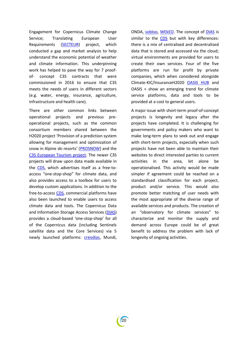Engagement for Copernicus Climate Change Service; Translating European User Requirements [\(SECTEUR\)](https://climate.copernicus.eu/secteur) project, which conducted a gap and market analysis to help understand the economic potential of weather and climate information. This underpinning work has helped to pave the way for 7 proofof- concept C3S contracts that were commissioned in 2016 to ensure that C3S meets the needs of users in different sectors (e.g. water, energy, insurance, agriculture, infrastructure and health care).

There are other common links between operational projects and previous preoperational projects, such as the common consortium members shared between the H2020 project 'Provision of a prediction system allowing for management and optimization of snow in Alpine ski resorts' ([PROSNOW\)](http://prosnow.org/) and the [C3S European Tourism project.](https://climate.copernicus.eu/european-tourism) The newer C3S projects will draw upon data made available in the [CDS,](https://cds.climate.copernicus.eu/#!/home) which advertises itself as a free-toaccess "one-stop-shop" for climate data, and also provides access to a toolbox for users to develop custom applications. In addition to the free-to-access [CDS,](https://cds.climate.copernicus.eu/#!/home) commercial platforms have also been launched to enable users to access climate data and tools. The Copernicus Data and Information Storage Access Services [\(DIAS\)](https://www.copernicus.eu/en/access-data/dias) provides a cloud-based 'one-stop-shop' for all of the Copernicus data (including Sentinels satellite data and the Core Services) via 5 newly launched platforms: [creodias,](https://creodias.eu/) Mundi, ONDA, [sobloo,](https://sobloo.eu/) [WEkEO.](https://www.wekeo.eu/) The concept of [DIAS](https://www.copernicus.eu/en/access-data/dias) is similar to the [CDS](https://cds.climate.copernicus.eu/#!/home) but with key differences: there is a mix of centralised and decentralised data that is stored and accessed via the cloud; virtual environments are provided for users to create their own services. Four of the five platforms are run for profit by private companies, which when considered alongside Climate-KIC/InsuranceH2020 [OASIS HUB](https://oasishub.co/about/about-the-oasis-hub/) and OASIS + show an emerging trend for climate service platforms, data and tools to be provided at a cost to general users.

A major issue with short-term proof-of-concept projects is longevity and legacy after the projects have completed. It is challenging for governments and policy makers who want to make long-term plans to seek out and engage with short-term projects, especially when such projects have not been able to maintain their websites to direct interested parties to current activities in the area, let alone be operationalised. This activity would be made simpler if agreement could be reached on a standardised classification for each project, product and/or service. This would also promote better matching of user needs with the most appropriate of the diverse range of available services and products. The creation of an "observatory for climate services" to characterize and monitor the supply and demand across Europe could be of great benefit to address the problem with lack of longevity of ongoing activities.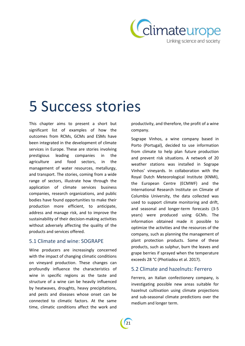

# 5 Success stories

This chapter aims to present a short but significant list of examples of how the outcomes from RCMs, GCMs and ESMs have been integrated in the development of climate services in Europe. These are stories involving prestigious leading companies in the agriculture and food sectors, in the management of water resources, metallurgy, and transport. The stories, coming from a wide range of sectors, illustrate how through the application of climate services business companies, research organizations, and public bodies have found opportunities to make their production more efficient, to anticipate, address and manage risk, and to improve the sustainability of their decision-making activities without adversely affecting the quality of the products and services offered.

## 5.1 Climate and wine: SOGRAPE

Wine producers are increasingly concerned with the impact of changing climatic conditions on vineyard production. These changes can profoundly influence the characteristics of wine in specific regions as the taste and structure of a wine can be heavily influenced by heatwaves, droughts, heavy precipitations, and pests and diseases whose onset can be connected to climatic factors. At the same time, climatic conditions affect the work and productivity, and therefore, the profit of a wine company.

Sogrape Vinhos, a wine company based in Porto (Portugal), decided to use information from climate to help plan future production and prevent risk situations. A network of 20 weather stations was installed in Sogrape Vinhos' vineyards. In collaboration with the Royal Dutch Meteorological Institute (KNMI), the European Centre (ECMWF) and the International Research Institute on Climate of Columbia University, the data collected was used to support climate monitoring and drift, and seasonal and longer-term forecasts (3-5 years) were produced using GCMs. The information obtained made it possible to optimize the activities and the resources of the company, such as planning the management of plant protection products. Some of these products, such as sulphur, burn the leaves and grape berries if sprayed when the temperature exceeds 28 °C (Photiadou et al. 2017).

## 5.2 Climate and hazelnuts: Ferrero

Ferrero, an Italian confectionery company, is investigating possible new areas suitable for hazelnut cultivation using climate projections and sub-seasonal climate predictions over the medium and longer term.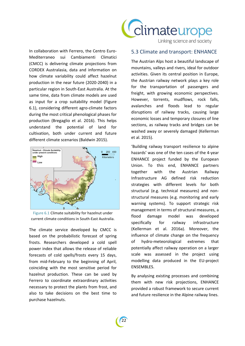

In collaboration with Ferrero, the Centro Euro-Mediterraneo sui Cambiamenti Climatici (CMCC) is delivering climate projections from CORDEX Australasia, data and information on how climate variability could affect hazelnut production in the near future (2020-2040) in a particular region in South-East Australia. At the same time, data from climate models are used as input for a crop suitability model (Figure 6.1), considering different agro-climate factors during the most critical phenological phases for production (Bregaglio et al. 2016). This helps understand the potential of land for cultivation, both under current and future different climate scenarios (Baldwin 2015).



Figure 6.1 Climate suitability for hazelnut under current climate conditions in South-East Australia.

The climate service developed by CMCC is based on the probabilistic forecast of spring frosts. Researchers developed a cold spell power index that allows the release of reliable forecasts of cold spells/frosts every 15 days, from mid-February to the beginning of April, coinciding with the most sensitive period for hazelnut production. These can be used by Ferrero to coordinate extraordinary activities necessary to protect the plants from frost, and also to take decisions on the best time to purchase hazelnuts.

### 5.3 Climate and transport: ENHANCE

The Austrian Alps host a beautiful landscape of mountains, valleys and rivers, ideal for outdoor activities. Given its central position in Europe, the Austrian railway network plays a key role for the transportation of passengers and freight, with growing economic perspectives. However, torrents, mudflows, rock falls, avalanches and floods lead to regular disruptions of railway tracks, causing large economic losses and temporary closures of line sections, as railway tracks and bridges can be washed away or severely damaged (Kellerman et al. 2015).

'Building railway transport resilience to alpine hazards' was one of the ten cases of the 4-year ENHANCE project funded by the European Union. To this end, ENHANCE partners together with the Austrian Railway Infrastructure AG defined risk reduction strategies with different levels for both structural (e.g. technical measures) and nonstructural measures (e.g. monitoring and early warning systems). To support strategic risk management in terms of structural measures, a flood damage model was developed specifically for railway infrastructure (Kellerman et al. 2016a). Moreover, the influence of climate change on the frequency of hydro-meteorological extremes that potentially affect railway operation on a larger scale was assessed in the project using modelling data produced in the EU-project ENSEMBLES.

By analysing existing processes and combining them with new risk projections, ENHANCE provided a robust framework to secure current and future resilience in the Alpine railway lines.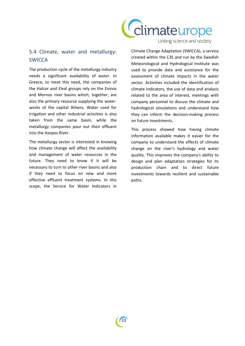

#### Linking science and society

# 5.4 Climate, water and metallurgy: **SWICCA**

The production cycle of the metallurgy industry needs a significant availability of water. In Greece, to meet this need, the companies of the Halcor and Elval groups rely on the Evinos and Mornos river basins which, together, are also the primary resource supplying the waterworks of the capital Athens. Water used for irrigation and other industrial activities is also taken from the same basin, while the metallurgy companies pour out their effluent into the Asopos River.

The metallurgy sector is interested in knowing how climate change will affect the availability and management of water resources in the future. They need to know if it will be necessary to turn to other river basins and also if they need to focus on new and more effective effluent treatment systems. In this scope, the Service for Water Indicators in Climate Change Adaptation (SWICCA), a service created within the C3S and run by the Swedish Meteorological and Hydrological Institute was used to provide data and assistance for the assessment of climate impacts in the water sector. Activities included the identification of climate indicators, the use of data and analysis related to the area of interest, meetings with company personnel to discuss the climate and hydrological simulations and understand how they can inform the decision-making process on future investments.

This process showed how having climate information available makes it easier for the company to understand the effects of climate change on the river's hydrology and water quality. This improves the company's ability to design and plan adaptation strategies for its production chain and to direct future investments towards resilient and sustainable paths.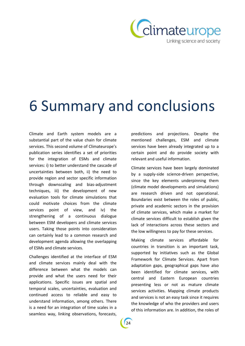

# 6 Summary and conclusions

Climate and Earth system models are a substantial part of the value chain for climate services. This second volume of Climateurope's publication series identifies a set of priorities for the integration of ESMs and climate services: i) to better understand the cascade of uncertainties between both, ii) the need to provide region and sector specific information through downscaling and bias-adjustment techniques, iii) the development of new evaluation tools for climate simulations that could motivate choices from the climate services point of view, and iv) the strengthening of a continuous dialogue between ESM developers and climate services users. Taking those points into consideration can certainly lead to a common research and development agenda allowing the overlapping of ESMs and climate services.

Challenges identified at the interface of ESM and climate services mainly deal with the difference between what the models can provide and what the users need for their applications. Specific issues are spatial and temporal scales, uncertainties, evaluation and continued access to reliable and easy to understand information, among others. There is a need for an integration of time scales in a seamless way, linking observations, forecasts, predictions and projections. Despite the mentioned challenges, ESM and climate services have been already integrated up to a certain point and do provide society with relevant and useful information.

Climate services have been largely dominated by a supply-side science-driven perspective, since the key elements underpinning them (climate model developments and simulations) are research driven and not operational. Boundaries exist between the roles of public, private and academic sectors in the provision of climate services, which make a market for climate services difficult to establish given the lack of interactions across these sectors and the low willingness to pay for these services.

Making climate services affordable for countries in transition is an important task, supported by initiatives such as the Global Framework for Climate Services. Apart from adaptation gaps, geographical gaps have also been identified for climate services, with central and Eastern European countries presenting less or not as mature climate services activities. Mapping climate products and services is not an easy task since it requires the knowledge of who the providers and users of this information are. In addition, the roles of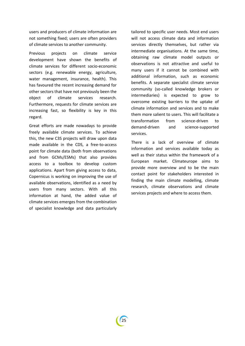users and producers of climate information are not something fixed; users are often providers of climate services to another community.

Previous projects on climate service development have shown the benefits of climate services for different socio-economic sectors (e.g. renewable energy, agriculture, water management, insurance, health). This has favoured the recent increasing demand for other sectors that have not previously been the object of climate services research. Furthermore, requests for climate services are increasing fast, so flexibility is key in this regard.

Great efforts are made nowadays to provide freely available climate services. To achieve this, the new C3S projects will draw upon data made available in the CDS, a free-to-access point for climate data (both from observations and from GCMs/ESMs) that also provides access to a toolbox to develop custom applications. Apart from giving access to data, Copernicus is working on improving the use of available observations, identified as a need by users from many sectors. With all this information at hand, the added value of climate services emerges from the combination of specialist knowledge and data particularly

tailored to specific user needs. Most end users will not access climate data and information services directly themselves, but rather via intermediate organisations. At the same time, obtaining raw climate model outputs or observations is not attractive and useful to many users if it cannot be combined with additional information, such as economic benefits. A separate specialist climate service community (so-called knowledge brokers or intermediaries) is expected to grow to overcome existing barriers to the uptake of climate information and services and to make them more salient to users. This will facilitate a transformation from science-driven to demand-driven and science-supported services.

There is a lack of overview of climate information and services available today as well as their status within the framework of a European market. Climateurope aims to provide more overview and to be the main contact point for stakeholders interested in finding the main climate modelling, climate research, climate observations and climate services projects and where to access them.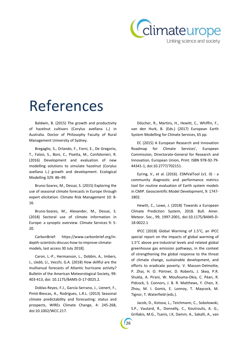

# References

Baldwin, B. (2015) The growth and productivity of hazelnut cultivars (Corylus avellana L.) in Australia. Doctor of Philosophy Faculty of Rural Management University of Sydney.

Bregaglio, S., Orlando, F., Forni, E., De Gregorio, T., Falzoi, S., Boni, C., Pisetta, M., Confalonieri, R. (2016) Development and evaluation of new modelling solutions to simulate hazelnut (Corylus avellana L.) growth and development. Ecological Modelling 329: 86–99.

Bruno-Soares, M., Dessai, S. (2015) Exploring the use of seasonal climate forecasts in Europe through expert elicitation. Climate Risk Management 10: 8- 16.

Bruno-Soares, M., Alexander, M., Dessai, S. (2018) Sectoral use of climate information in Europe: a synoptic overview. Climate Services 9: 5- 20.

CarbonBrief: https://www.carbonbrief.org/indepth-scientists-discuss-how-to-improve-climatemodels, last access 30 July 2018].

Caron, L.-P., Hermanson, L., Dobbin, A., Imbers, J., Lledó, Ll., Vecchi, G.A. (2018) How skillful are the multianual forecasts of Atlantic hurricane activity? Bulletin of the American Meteorological Society, 99: 403-413, doi: 10.1175/BAMS-D-17-0025.2.

Doblas-Reyes, F.J., García‐Serrano, J., Lienert, F., Pintó-Biescas, A., Rodrigues, L.R.L. (2013) Seasonal climate predictability and forecasting: status and prospects, WIREs Climate Change, 4: 245-268, doi:10.1002/WCC.217.

Döscher, R., Martins, H., Hewitt, C., Whiffin, F., van den Hurk, B. (Eds.) (2017) European Earth System Modelling for Climate Services, 65 pp.

EC (2015) A European Research and Innovation Roadmap for Climate Services', European Commission, Directorate-General for Research and Innovation, European Union, Print: ISBN 978-92-79- 44341-1, doi:10.2777/702151.

Eyring, V., et al. (2016). ESMValTool (v1. 0) - a community diagnostic and performance metrics tool for routine evaluation of Earth system models in CMIP. Geoscientific Model Development, 9: 1747- 1802.

Hewitt, C., Lowe, J. (2018) Towards a European Climate Prediction System, 2018. Bull. Amer. Meteor. Soc., 99, 1997-2001, doi:10.1175/BAMS-D-18-0022.1

IPCC (2018) Global Warming of 1.5°C, an IPCC special report on the impacts of global warming of 1.5°C above pre-industrial levels and related global greenhouse gas emission pathways, in the context of strengthening the global response to the threat of climate change, sustainable development, and efforts to eradicate poverty. V. Masson-Delmotte, P. Zhai, H. O. Pörtner, D. Roberts, J. Skea, P.R. Shukla, A. Pirani, W. Moufouma-Okia, C. Péan, R. Pidcock, S. Connors, J. B. R. Matthews, Y. Chen, X. Zhou, M. I. Gomis, E. Lonnoy, T. Maycock, M. Tignor, T. Waterfield (eds.).

Jacob, D., Kotova, L., Teichmann, C., Sobolowski, S.P., Vautard, R., Donnelly, C., Koutroulis, A. G., Grillakis, M.G., Tsanis, I.K, Damm, A., Sakalli, A., van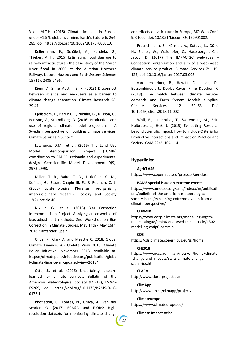Vliet, M.T.H. (2018) Climate impacts in Europe under +1.5ºC global warming. Earth's Future 6: 264- 285, doi: https://doi.org/10.1002/2017EF000710.

Kellermann, P., Schöbel, A., Kundela, G., Thieken, A. H. (2015) Estimating flood damage to railway infrastructure - the case study of the March River flood in 2006 at the Austrian Northern Railway. Natural Hazards and Earth System Sciences 15 (11): 2485-2496.

Kiem, A. S., & Austin, E. K. (2013) Disconnect between science and end-users as a barrier to climate change adaptation. Climate Research 58: 29-41.

Kjellström, E., Bärring, L., Nikulin, G., Nilsson, C., Persson, G., Strandberg, G. (2016) Production and use of regional climate model projections - A Swedish perspective on building climate services. Climate Services 2-3: 15-29.

Lawrence, D.M., et al. (2016) The Land Use Model Intercomparison Project (LUMIP) contribution to CMIP6: rationale and experimental design. Geoscientific Model Development 9(9): 2973-2998.

Miller, T. R., Baird, T. D., Littlefield, C. M., Kofinas, G., Stuart Chapin III, F., & Redman, C. L. (2008) Epistemological Pluralism: reorganizing interdisciplinary research. Ecology and Society 13(2), article 46.

Nikulin, G., et al. (2018) Bias Correction Intercomparison Project: Applying an ensemble of bias-adjustment methods. 2nd Workshop on Bias Correction in Climate Studies, May 14th - May 16th, 2018, Santander, Spain.

Oliver P., Clark A. and Meattle C. 2018. Global Climate Finance: An Update View 2018. Climate Policy Initiative, November 2018. Available at: https://climatepolicyinitiative.org/publication/globa l-climate-finance-an-updated-view-2018/

Otto, J., et al. (2016) Uncertainty: Lessons learned for climate services. Bulletin of the American Meteorological Society 97 (12), ES265- ES269, doi: https://doi.org/10.1175/BAMS-D-16- 0173.1.

Photiadou, C., Fontes, N., Graça, A., van der Schrier, G. (2017) ECA&D and E-OBS: Highresolution datasets for monitoring climate change and effects on viticulture in Europe, BIO Web Conf. 9, 01002, doi: 10.1051/bioconf/20170901002.

Preuschmann, S., Hänsler, A., Kotova, L., Dürk, N., Eibner, W., Waidhofer, C., Haselberger, Ch., Jacob, D. (2017) The IMPACT2C web-atlas – Conception, organization and aim of a web-based climate service product. Climate Services 7: 115- 125, doi: 10.1016/j.cliser.2017.03.005.

van den Hurk, B., Hewitt, C., Jacob, D., Bessembinder, J., Doblas-Reyes, F., & Döscher, R. (2018). The match between climate services demands and Earth System Models supplies. Climate Services, 12, 59–63. Doi: 10.1016/j.cliser.2018.11.002

Wolf, B., Lindenthal, T., Szerencsits, M., Britt Holbrook, J., Heß, J. (2013) Evaluating Research beyond Scientific Impact. How to Include Criteria for Productive Interactions and Impact on Practice and Society. GAIA 22/2: 104-114.

#### **Hyperlinks:**

#### **AgriCLASS**

https://www.copernicus.eu/projects/agriclass

#### **BAMS special issue on extreme events**

https://www.ametsoc.org/ams/index.cfm/publicati ons/bulletin-of-the-american-meteorologicalsociety-bams/explaining-extreme-events-from-aclimate-perspective/

#### **CDRMIP**

https://www.wcrp-climate.org/modelling-wgcmmip-catalogue/cmip6-endorsed-mips-article/1302 modelling-cmip6-cdrrmip

#### **CDS**

https://cds.climate.copernicus.eu/#!/home

#### **CH2018**

https://www.nccs.admin.ch/nccs/en/home/climate -change-and-impacts/swiss-climate-changescenarios.html

#### **CLARA**

http://www.clara-project.eu/

#### **ClimApp**

27

http://www.lth.se/climapp/project/

**Climateurope**  https://www.climateurope.eu/

**Climate Impact Atlas**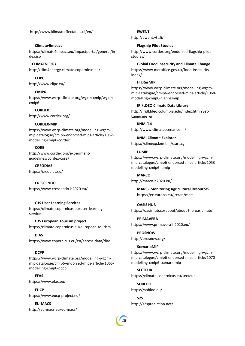http://www.klimaateffectatlas.nl/en/

#### **Climate4impact**

https://climate4impact.eu/impactportal/general/in dex.jsp

#### **CLIM4ENERGY**

http://clim4energy.climate.copernicus.eu/

**CLIPC** http://www.clipc.eu/

#### **CMIP6**

https://www.wcrp-climate.org/wgcm-cmip/wgcmcmip6

#### **CORDEX**

http://www.cordex.org/

#### **CORDEX-MIP**

https://www.wcrp-climate.org/modelling-wgcmmip-catalogue/cmip6-endorsed-mips-article/1052 modelling-cmip6-cordex

#### **CORE**

http://www.cordex.org/experimentguidelines/cordex-core/

**CREODIAS** https://creodias.eu/

**CRESCENDO** https://www.crescendo-h2020.eu/

#### **C3S User Learning Services**

https://climate.copernicus.eu/user-learningservices

#### **C3S European Tourism project**

https://climate.copernicus.eu/european-tourism

**DIAS** https://www.copernicus.eu/en/access-data/dias

#### **DCPP**

https://www.wcrp-climate.org/modelling-wgcmmip-catalogue/cmip6-endorsed-mips-article/1065 modelling-cmip6-dcpp

**EFAS** https://www.efas.eu/

**EUCP** https://www.eucp-project.eu/

**EU-MACS** http://eu-macs.eu/eu-macs/

#### **EWENT**

http://ewent.vtt.fi/

#### **Flagship Pilot Studies**

http://www.cordex.org/endorsed-flagship-pilotstudies/

#### **Global Food Insecurity and Climate Change**

https://www.metoffice.gov.uk/food-insecurityindex/

#### **HigResMIP**

https://www.wcrp-climate.org/modelling-wgcmmip-catalogue/cmip6-endorsed-mips-article/1068 modelling-cmip6-highresmip

#### **IRI/LDEO Climate Data Library**

http://iridl.ldeo.columbia.edu/index.html?Set-Language=en

#### **KNMI'14**

http://www.climatescenarios.nl/

**KNMI Climate Explorer** https://climexp.knmi.nl/start.cgi

#### **LUMIP**

https://www.wcrp-climate.org/modelling-wgcmmip-catalogue/cmip6-endorsed-mips-article/1053 modelling-cmip6-lumip

**MARCO**

http://marco-h2020.eu/

**MARS - Monitoring Agricultural ResourceS** https://ec.europa.eu/jrc/en/mars

#### **OASIS HUB**

https://oasishub.co/about/about-the-oasis-hub/

#### **PRIMAVERA**

<https://www.primavera-h2020.eu/>

#### **PROSNOW**

http://prosnow.org/

#### **ScenarioMIP**

https://www.wcrp-climate.org/modelling-wgcmmip-catalogue/cmip6-endorsed-mips-article/1070 modelling-cmip6-scenariomip

#### **SECTEUR**

https://climate.copernicus.eu/secteur

**SOBLOO** https://sobloo.eu/

**S2S**  http://s2sprediction.net/

28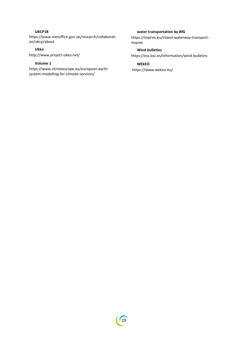### **UKCP18**

https://www.metoffice.gov.uk/research/collaborati on/ukcp/about

### **Ukko**

http://www.project-ukko.net/

#### **Volume 1**

https://www.climateurope.eu/european-earthsystem-modelling-for-climate-services/

### **water transportation by BfG**

https://imprex.eu/inland-waterway-transportimprex

### **Wind bulletins**

https://ess.bsc.es/information/wind-bulletins

#### **WEkEO**

https://www.wekeo.eu/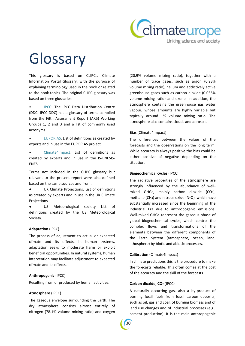

# Glossary

This glossary is based on CLIPC's Climate Information Portal Glossary, with the purpose of explaining terminology used in the book or related to the book topics. The original CLIPC glossary was based on three glossaries:

[IPCC:](http://www.ipcc-data.org/guidelines/pages/glossary/glossary_s.html) The IPCC Data Distribution Centre (DDC; IPCC-DDC) has a glossary of terms compiled from the Fifth Assessment Report (AR5) Working Groups 1, 2 and 3 and a list of commonly used acronyms

• [EUPORIAS:](http://www.euporias.eu/glossary) List of definitions as created by experts and in use in the EUPORIAS project.

• [Climate4Impact:](https://climate4impact.eu/impactportal/documentation/glossary.jsp?q=climate4impactglossary#letter_c) List of definitions as created by experts and in use in the IS-ENESIS-ENES

Terms not included in the CLIPC glossary but relevant to the present report were also defined based on the same sources and from:

● [UK Climate Projections:](http://ukclimateprojections.metoffice.gov.uk/23661) List of definitions as created by experts and in use in the UK CLimate **Projections** 

● [US Meteorological](http://glossary.ametsoc.org/wiki/Main_Page) [society](http://glossary.ametsoc.org/wiki/Main_Page) List of definitions created by the US Meteorological Society.

#### **Adaptation** (IPCC)

The process of adjustment to actual or expected climate and its effects. In human systems, adaptation seeks to moderate harm or exploit beneficial opportunities. In natural systems, human intervention may facilitate adjustment to expected climate and its effects.

#### **Anthropogenic** (IPCC)

Resulting from or produced by human activities.

#### **Atmosphere** (IPCC)

The gaseous envelope surrounding the Earth. The dry atmosphere consists almost entirely of nitrogen (78.1% volume mixing ratio) and oxygen

(20.9% volume mixing ratio), together with a number of trace gases, such as argon (0.93% volume mixing ratio), helium and addictively active greenhouse gases such as carbon dioxide (0.035% volume mixing ratio) and ozone. In addition, the atmosphere contains the greenhouse gas water vapour, whose amounts are highly variable but typically around 1% volume mixing ratio. The atmosphere also contains clouds and aerosols.

#### **Bias** (Climate4Impact)

The differences between the values of the forecasts and the observations on the long term. While accuracy is always positive the bias could be either positive of negative depending on the situation.

#### **Biogeochemical cycles** (IPCC)

The radiative properties of the atmosphere are strongly influenced by the abundance of wellmixed GHGs, mainly carbon dioxide  $(CO<sub>2</sub>)$ , methane (CH<sub>4</sub>) and nitrous oxide (N<sub>2</sub>O), which have substantially increased since the beginning of the Industrial Era due to anthropogenic emissions. Well-mixed GHGs represent the gaseous phase of global biogeochemical cycles, which control the complex flows and transformations of the elements between the different components of the Earth System (atmosphere, ocean, land, lithosphere) by biotic and abiotic processes.

#### **Calibration** (Climate4Impact)

In climate predictions this is the procedure to make the forecasts reliable. This often comes at the cost of the accuracy and the skill of the forecasts.

#### **Carbon dioxide, CO<sup>2</sup>** (IPCC)

A naturally occurring gas, also a by-product of burning fossil fuels from fossil carbon deposits, such as oil, gas and coal, of burning biomass and of land use changes and of industrial processes (e.g., cement production). It is the main anthropogenic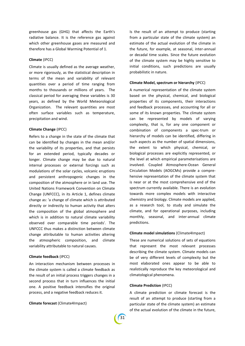greenhouse gas (GHG) that affects the Earth's radiative balance. It is the reference gas against which other greenhouse gases are measured and therefore has a Global Warming Potential of 1.

#### **Climate** (IPCC)

Climate is usually defined as the average weather, or more rigorously, as the statistical description in terms of the mean and variability of relevant quantities over a period of time ranging from months to thousands or millions of years. The classical period for averaging these variables is 30 years, as defined by the World Meteorological Organization. The relevant quantities are most often surface variables such as temperature, precipitation and wind.

#### **Climate Change** (IPCC)

Refers to a change in the state of the climate that can be identified by changes in the mean and/or the variability of its properties, and that persists for an extended period, typically decades or longer. Climate change may be due to natural internal processes or external forcings such as modulations of the solar cycles, volcanic eruptions and persistent anthropogenic changes in the composition of the atmosphere or in land use. The United Nations Framework Convention on Climate Change (UNFCCC), in its Article 1, defines climate change as: 'a change of climate which is attributed directly or indirectly to human activity that alters the composition of the global atmosphere and which is in addition to natural climate variability observed over comparable time periods'. The UNFCCC thus makes a distinction between climate change attributable to human activities altering the atmospheric composition, and climate variability attributable to natural causes.

#### **Climate feedback** (IPCC)

An interaction mechanism between processes in the climate system is called a climate feedback as the result of an initial process triggers changes in a second process that in turn influences the initial one. A positive feedback intensifies the original process, and a negative feedback reduces it.

#### **Climate forecast** (Climate4Impact)

Is the result of an attempt to produce (starting from a particular state of the climate system) an estimate of the actual evolution of the climate in the future, for example, at seasonal, inter-annual or decadal time scales. Since the future evolution of the climate system may be highly sensitive to initial conditions, such predictions are usually probabilistic in nature.

#### **Climate Model, spectrum or hierarchy** (IPCC)

A numerical representation of the climate system based on the physical, chemical, and biological properties of its components, their interactions and feedback processes, and accounting for all or some of its known properties. The climate system can be represented by models of varying complexity, that is, for any one component or combination of components a spec-trum or hierarchy of models can be identified, differing in such aspects as the number of spatial dimensions, the extent to which physical, chemical, or biological processes are explicitly represented, or the level at which empirical parameterisations are involved. Coupled Atmosphere-Ocean General Circulation Models (AOGCMs) provide a comprehensive representation of the climate system that is near or at the most comprehensive end of the spectrum currently available. There is an evolution towards more complex models with interactive chemistry and biology. Climate models are applied, as a research tool, to study and simulate the climate, and for operational purposes, including monthly, seasonal, and inter-annual climate predictions.

#### **Climate model simulations** (Climate4Impact)

These are numerical solutions of sets of equations that represent the most relevant processes describing the climate system. Climate models can be of very different levels of complexity but the most elaborated ones appear to be able to realistically reproduce the key meteorological and climatological phenomena.

#### **Climate Prediction** (IPCC)

A climate prediction or climate forecast is the result of an attempt to produce (starting from a particular state of the climate system) an estimate of the actual evolution of the climate in the future,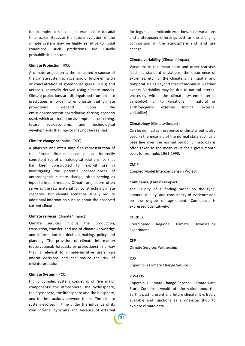for example, at seasonal, interannual or decadal time scales. Because the future evolution of the climate system may be highly sensitive to initial conditions, such predictions are usually probabilistic in nature.

#### **Climate Projection** (IPCC)

A climate projection is the simulated response of the climate system to a scenario of future emission or concentration of greenhouse gases (GHGs) and aerosols, generally derived using climate models. Climate projections are distinguished from climate predictions in order to emphasize that climate projections depend upon the emission/concentration/radiative forcing scenario used, which are based on assumptions concerning, future socioeconomic and technological developments that may or may not be realised.

#### **Climate change scenario** (IPCC)

A plausible and often simplified representation of the future climate, based on an internally consistent set of climatological relationships that has been constructed for explicit use in investigating the potential consequences of anthropogenic climate change, often serving as input to impact models. Climate projections often serve as the raw material for constructing climate scenarios, but climate scenarios usually require additional information such as about the observed current climate.

#### **Climate services** (Climate4Impact)

Climate services involve the production, translation, transfer, and use of climate knowledge and information for decision making, policy and planning. The provision of climate information (observational, forecasts or projections) in a way that is relevant to climate-sensitive users, can inform decisions and can reduce the risk of misinterpretation.

#### **Climate System** (IPCC)

Highly complex system consisting of five major components: the atmosphere, the hydrosphere, the cryosphere, the lithosphere and the biosphere, and the interactions between them. The climate system evolves in time under the influence of its own internal dynamics and because of external

forcings such as volcanic eruptions, solar variations and anthropogenic forcings such as the changing composition of the atmosphere and land use change.

#### **Climate variability** (Climate4Impact)

Variations in the mean state and other statistics (such as standard deviations, the occurrence of extremes, etc.) of the climate on all spatial and temporal scales beyond that of individual weather events. Variability may be due to natural internal processes within the climate system (internal variability), or to variations in natural or anthropogenic external forcing (external variability)

#### **Climatology** (Climate4Impact)

Can be defined as the science of climate, but is also used in the meaning of the normal state such as a base line over the normal period. Climatology is often taken as the mean value for a given month over, for example, 1961-1990.

#### **CMIP**

Coupled Model Intercomparison Project

#### **Confidence** (Climate4Impact)

The validity of a finding based on the type, amount, quality, and consistency of evidence and on the degree of agreement. Confidence is expressed qualitatively.

#### **CORDEX**

Coordinated Regional Climate Downscaling Experiment

#### **CSP**

Climate Services Partnership

#### **C3S**

Copernicus Climate Change Service

#### **C3S-CDS**

Copernicus Climate Change Service - Climate Data Store. Contains a wealth of information about the Earth's past, present and future climate. It is freely available and functions as a one-stop shop to explore climate data.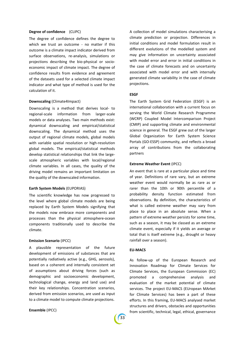#### **Degree of confidence** (CLIPC)

The degree of confidence defines the degree to which we trust an outcome - no matter if this outcome is a climate impact indicator derived from surface observations, re-analysis, simulations or projections describing the bio-physical or socioeconomic impact of climate impact. The degree of confidence results from evidence and agreement of the datasets used for a selected climate impact indicator and what type of method is used for the calculation of it.

#### **Downscaling** (Climate4Impact)

Downscaling is a method that derives local- to regional-scale information from larger-scale models or data analyses. Two main methods exist: dynamical downscaling and empirical/statistical downscaling. The dynamical method uses the output of regional climate models, global models with variable spatial resolution or high-resolution global models. The empirical/statistical methods develop statistical relationships that link the largescale atmospheric variables with local/regional climate variables. In all cases, the quality of the driving model remains an important limitation on the quality of the downscaled information.

#### **Earth System Models** (EUPORIAS)

The scientific knowledge has now progressed to the level where global climate models are being replaced by Earth System Models signifying that the models now embrace more components and processes than the physical atmosphere-ocean components traditionally used to describe the climate.

#### **Emission Scenario** (IPCC)

A plausible representation of the future development of emissions of substances that are potentially radiatively active (e.g., GHG, aerosols), based on a coherent and internally consistent set of assumptions about driving forces (such as demographic and socioeconomic development, technological change, energy and land use) and their key relationships. Concentration scenarios, derived from emission scenarios, are used as input to a climate model to compute climate projections.

#### **Ensemble** (IPCC)

A collection of model simulations characterising a climate prediction or projection. Differences in initial conditions and model formulation result in different evolutions of the modelled system and may give information on uncertainty associated with model error and error in initial conditions in the case of climate forecasts and on uncertainty associated with model error and with internally generated climate variability in the case of climate projections.

#### **ESGF**

The Earth System Grid Federation (ESGF) is an international collaboration with a current focus on serving the World Climate Research Programme (WCRP) Coupled Model Intercomparison Project (CMIP) and supporting climate and environmental science in general. The ESGF grew out of the larger Global Organization for Earth System Science Portals (GO-ESSP) community, and reflects a broad array of contributions from the collaborating partners

#### **Extreme Weather Event** (IPCC)

An event that is rare at a particular place and time of year. Definitions of rare vary, but an extreme weather event would normally be as rare as or rarer than the 10th or 90th percentile of a probability density function estimated from observations. By definition, the characteristics of what is called extreme weather may vary from place to place in an absolute sense. When a pattern of extreme weather persists for some time, such as a season, it may be classed as an extreme climate event, especially if it yields an average or total that is itself extreme (e.g., drought or heavy rainfall over a season).

#### **EU-MACS**

As follow-up of the European Research and Innovation Roadmap for Climate Services for Climate Services, the European Commission (EC) promoted a comprehensive analysis and evaluation of the market potential of climate services. The project EU-MACS (EUropean MArket for Climate Services) has been a part of these efforts. In this framing, EU-MACS analysed market structures and drivers, obstacles and opportunities from scientific, technical, legal, ethical, governance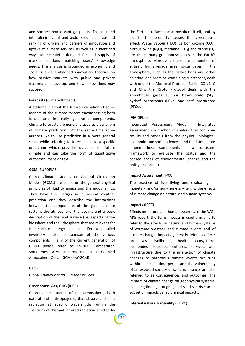and socioeconomic vantage points. This resulted inter alia in overall and sector specific analysis and ranking of drivers and barriers of innovation and uptake of climate services, as well as in identified ways to incentivise demand for and supply of market solutions matching users' knowledge needs. The analysis is grounded in economic and social science embedded innovation theories on how service markets with public and private features can develop, and how innovations may succeed.

#### **Forecasts** (Climate4Impact)

A statement about the future evaluation of some aspects of the climate system encompassing both forced and internally generated components. Climate forecasts are generally used as a synonym of climate predictions. At the same time some authors like to use prediction in a more general sense while referring to forecasts as to a specific prediction which provides guidance on future climate and can take the form of quantitative outcomes, maps or text.

#### **GCM** (EUPORIAS)

Global Climate Models or General Circulation Models (GCMs) are based on the general physical principles of fluid dynamics and thermodynamics. They have their origin in numerical weather prediction and they describe the interactions between the components of the global climate system: the atmosphere, the oceans and a basic description of the land surface (i.e. aspects of the biosphere and the lithosphere that are relevant for the surface energy balance). For a detailed inventory and/or comparison of the various components in any of the current generation of GCMs please refer to ES-DOC Comparator. Sometimes GCMs are referred to as Coupled Atmosphere-Ocean GCMs (AOGCM).

#### **GFCS**

Global Framework for Climate Services

#### **Greenhouse Gas, GHG** (IPCC)

Gaseous constituents of the atmosphere, both natural and anthropogenic, that absorb and emit radiation at specific wavelengths within the spectrum of thermal infrared radiation emitted by

the Earth's surface, the atmosphere itself, and by clouds. This property causes the greenhouse effect. Water vapour (H<sub>2</sub>O), carbon dioxide (CO<sub>2</sub>), nitrous oxide (N<sub>2</sub>O), methane (CH<sub>4</sub>) and ozone (O<sub>3</sub>) are the primary greenhouse gases in the Earth's atmosphere. Moreover, there are a number of entirely human-made greenhouse gases in the atmosphere, such as the halocarbons and other chlorine- and bromine-containing substances, dealt with under the Montreal Protocol. Beside CO<sub>2</sub>, N<sub>2</sub>O and CH4, the Kyoto Protocol deals with the greenhouse gases sulphur hexafluoride (SF6), hydrofluorocarbons (HFCs) and perfluorocarbons (PFCs).

#### **IAM** (IPCC)

Integrated Assessment Model. Integrated assessment is a method of analysis that combines results and models from the physical, biological, economic, and social sciences, and the interactions among these components in a consistent framework to evaluate the status and the consequences of environmental change and the policy responses to it.

#### **Impact Assessment** (IPCC)

The practice of identifying and evaluating, in monetary and/or non-monetary terms, the effects of climate change on natural and human systems.

#### **Impacts** (IPCC)

Effects on natural and human systems. In the WGII AR5 report, the term impacts is used primarily to refer to the effects on natural and human systems of extreme weather and climate events and of climate change. Impacts generally refer to effects on lives, livelihoods, health, ecosystems, economies, societies, cultures, services, and infrastructure due to the interaction of climate changes or hazardous climate events occurring within a specific time period and the vulnerability of an exposed society or system. Impacts are also referred to as consequences and outcomes. The impacts of climate change on geophysical systems, including floods, droughts, and sea level rise, are a subset of impacts called physical impacts.

#### **Internal natural variability** (CLIPC)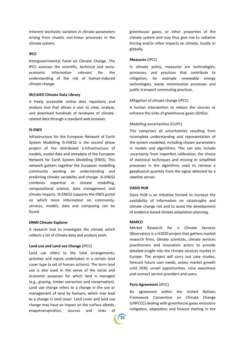Inherent stochastic variation in climate parameters arising from chaotic non-linear processes in the climate system.

#### **IPCC**

Intergovernmental Panel on Climate Change. The IPCC assesses the scientific, technical and socioeconomic information relevant for the understanding of the risk of human-induced climate change.

#### **IRI/LDEO Climate Data Library**

A freely accessible online data repository and analysis tool that allows a user to view, analyze, and download hundreds of terabytes of climaterelated data through a standard web browser.

#### **IS-ENES**

Infrastructure for the European Network of Earth System Modelling IS-ENES2 is the second phase project of the distributed e-infrastructure of models, model data and metadata of the European Network for Earth System Modelling (ENES). This network gathers together the European modelling community working on understanding and predicting climate variability and change. IS-ENES2 combines expertise in climate modelling, computational science, data management and climate impacts. IS-ENES2 supports the ENES portal on which more information on community, services, models, data and computing can be found.

#### **KNMI Climate Explorer**

A research tool to investigate the climate which collects a lot of climate data and analysis tools.

#### **Land use and Land use Change** (IPCC)

Land use refers to the total arrangements, activities and inputs undertaken in a certain land cover type (a set of human actions). The term land use is also used in the sense of the social and economic purposes for which land is managed (e.g., grazing, timber extraction and conservation). Land use change refers to a change in the use or management of land by humans, which may lead to a change in land cover. Land cover and land use change may have an impact on the surface albedo, evapotranspiration, sources and sinks of greenhouse gases, or other properties of the climate system and may thus give rise to radiative forcing and/or other impacts on climate, locally or globally.

#### **Measures** (IPCC)

In climate policy, measures are technologies, processes, and practices that contribute to mitigation, for example renewable energy technologies, waste minimization processes and public transport commuting practices.

#### Mitigation of climate change (IPCC)

A human intervention to reduce the sources or enhance the sinks of greenhouse gases (GHGs).

#### Modelling uncertainties (CLIPC)

This comprises all uncertainties resulting from incomplete understanding and representation of the system modelled, including chosen parameters in models and algorithms. This can also include uncertainty from imperfect calibration, the choice of statistical techniques and missing or simplified processes in the algorithms used to retrieve a geophysical quantity from the signal detected by a satellite sensor.

#### **OASIS HUB**

Oasis HUB is an initiative formed to increase the availability of information on catastrophe and climate change risk and to assist the development of evidence-based climate adaptation planning.

#### **MARCO**

MArket Research for a Climate Services Observatory is a H2020 project that gathers market research firms, climate scientists, climate services practitioners and innovation actors to provide detailed insight into the climate services market in Europe. The project will carry out case studies, forecast future user needs, assess market growth until 2030, unveil opportunities, raise awareness and connect service providers and users.

#### **Paris Agreement** (IPCC)

An agreement within the United Nations Framework Convention on Climate Change (UNFCCC) dealing with greenhouse gases emissions mitigation, adaptation and finance starting in the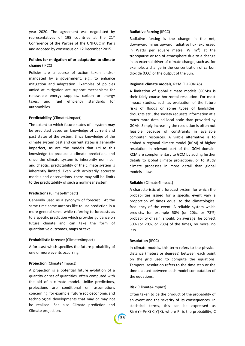year 2020. The agreement was negotiated by representatives of 195 countries at the 21 $st$ Conference of the Parties of the UNFCCC in Paris and adopted by consensus on 12 December 2015.

#### **Policies for mitigation of or adaptation to climate change** (IPCC)

Policies are a course of action taken and/or mandated by a government, e.g., to enhance mitigation and adaptation. Examples of policies amied at mitigation are support mechanisms for renewable energy supplies, carbon or energy taxes, and fuel efficiency standards for automobiles.

#### **Predictability** (Climate4Impact)

The extent to which future states of a system may be predicted based on knowledge of current and past states of the system. Since knowledge of the climate system past and current states is generally imperfect, as are the models that utilise this knowledge to produce a climate prediction, and since the climate system is inherently nonlinear and chaotic, predictability of the climate system is inherently limited. Even with arbitrarily accurate models and observations, there may still be limits to the predictability of such a nonlinear system.

#### **Predictions** (Climate4Impact)

Generally used as a synonym of forecast . At the same time some authors like to use prediction in a more general sense while referring to forecasts as to a specific prediction which provides guidance on future climate and can take the form of quantitative outcomes, maps or text.

#### **Probabilistic forecast** (Climate4Impact)

A forecast which specifies the future probability of one or more events occurring.

#### **Projection** (Climate4Impact)

A projection is a potential future evolution of a quantity or set of quantities, often computed with the aid of a climate model. Unlike predictions, projections are conditional on assumptions concerning, for example, future socioeconomic and technological developments that may or may not be realised. See also Climate prediction and Climate projection.

#### **Radiative Forcing** (IPCC)

Radiative forcing is the change in the net, downward minus upward, radiative flux (expressed in Watts per square metre; W  $m^{-2}$ ) at the tropopause or top of atmosphere due to a change in an external driver of climate change, such as, for example, a change in the concentration of carbon dioxide (CO2) or the output of the Sun.

#### **Regional climate models, RCM** (EUPORIAS)

A limitation of global climate models (GCMs) is their fairly coarse horizontal resolution. For most impact studies, such as evaluation of the future risks of floods or some types of landslides, droughts etc., the society requests information at a much more detailed local scale than provided by GCMs. Simply increasing the resolution is often not feasible because of constraints in available computer resources. A viable alternative is to embed a regional climate model (RCM) of higher resolution in relevant part of the GCM domain. RCM are complementary to GCM by adding further details to global climate projections, or to study climate processes in more detail than global models allow.

#### **Reliable** (Climate4Impact)

A characteristic of a forecast system for which the probabilities issued for a specific event vary a proportion of times equal to the climatological frequency of the event. A reliable system which predicts, for example 50% (or 20%, or 73%) probability of rain, should, on average, be correct 50% (or 20%, or 73%) of the times, no more, no less.

#### **Resolution** (IPCC)

In climate models, this term refers to the physical distance (meters or degrees) between each point on the grid used to compute the equations. Temporal resolution refers to the time step or the time elapsed between each model computation of the equations.

#### **Risk** (Climate4Impact)

36

Often taken to be the product of the probability of an event and the severity of its consequences. In statistical terms, this can be expressed as  $Risk(Y)=Pr(X) C(Y|X)$ , where Pr is the probability, C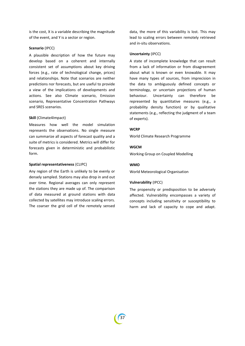is the cost, X is a variable describing the magnitude of the event, and Y is a sector or region.

#### **Scenario** (IPCC)

A plausible description of how the future may develop based on a coherent and internally consistent set of assumptions about key driving forces (e.g., rate of technological change, prices) and relationships. Note that scenarios are neither predictions nor forecasts, but are useful to provide a view of the implications of developments and actions. See also Climate scenario, Emission scenario, Representative Concentration Pathways and SRES scenarios.

#### **Skill** (Climate4Impact)

Measures how well the model simulation represents the observations. No single measure can summarize all aspects of forecast quality and a suite of metrics is considered. Metrics will differ for forecasts given in deterministic and probabilistic form.

#### **Spatial representativeness** (CLIPC)

Any region of the Earth is unlikely to be evenly or densely sampled. Stations may also drop in and out over time. Regional averages can only represent the stations they are made up of. The comparison of data measured at ground stations with data collected by satellites may introduce scaling errors. The coarser the grid cell of the remotely sensed

data, the more of this variability is lost. This may lead to scaling errors between remotely retrieved and in-situ observations.

#### **Uncertainty** (IPCC)

A state of incomplete knowledge that can result from a lack of information or from disagreement about what is known or even knowable. It may have many types of sources, from imprecision in the data to ambiguously defined concepts or terminology, or uncertain projections of human behaviour. Uncertainty can therefore be represented by quantitative measures (e.g., a probability density function) or by qualitative statements (e.g., reflecting the judgment of a team of experts).

#### **WCRP**

World Climate Research Programme

#### **WGCM**

Working Group on Coupled Modelling

#### **WMO**

World Meteorological Organisation

#### **Vulnerability** (IPCC)

The propensity or predisposition to be adversely affected. Vulnerability encompasses a variety of concepts including sensitivity or susceptibility to harm and lack of capacity to cope and adapt.